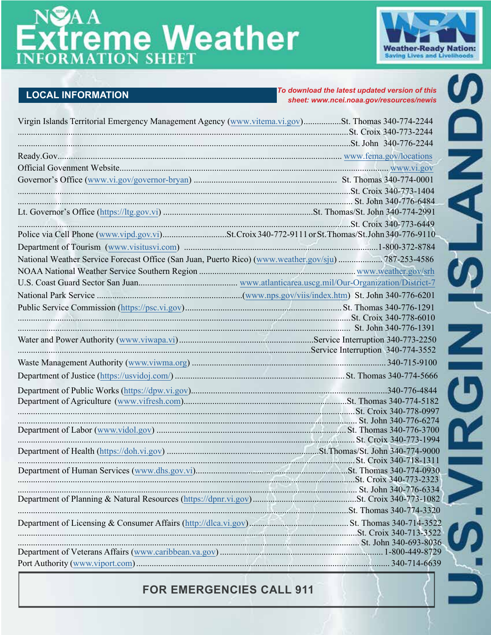# **treme Weather**



ロ<br>N<br>く

NE<br>O

 $\frac{R}{2}$ 

### **LOCAL INFORMATION**

To download the latest updated version of this sheet: www.ncei.noaa.gov/resources/newis

| Virgin Islands Territorial Emergency Management Agency (www.vitema.vi.gov)St. Thomas 340-774-2244  |  |  |  |
|----------------------------------------------------------------------------------------------------|--|--|--|
|                                                                                                    |  |  |  |
|                                                                                                    |  |  |  |
|                                                                                                    |  |  |  |
|                                                                                                    |  |  |  |
|                                                                                                    |  |  |  |
|                                                                                                    |  |  |  |
|                                                                                                    |  |  |  |
|                                                                                                    |  |  |  |
| Et. Croix 340-773-6449                                                                             |  |  |  |
|                                                                                                    |  |  |  |
|                                                                                                    |  |  |  |
| National Weather Service Forecast Office (San Juan, Puerto Rico) (www.weather.gov/sju)787-253-4586 |  |  |  |
|                                                                                                    |  |  |  |
|                                                                                                    |  |  |  |
|                                                                                                    |  |  |  |
|                                                                                                    |  |  |  |
|                                                                                                    |  |  |  |
|                                                                                                    |  |  |  |
| Service Interruption 340-774-3552                                                                  |  |  |  |
|                                                                                                    |  |  |  |
|                                                                                                    |  |  |  |
|                                                                                                    |  |  |  |
|                                                                                                    |  |  |  |
|                                                                                                    |  |  |  |
|                                                                                                    |  |  |  |
|                                                                                                    |  |  |  |
|                                                                                                    |  |  |  |
|                                                                                                    |  |  |  |
|                                                                                                    |  |  |  |
|                                                                                                    |  |  |  |
|                                                                                                    |  |  |  |
|                                                                                                    |  |  |  |
|                                                                                                    |  |  |  |
|                                                                                                    |  |  |  |
|                                                                                                    |  |  |  |
|                                                                                                    |  |  |  |
|                                                                                                    |  |  |  |

**FOR EMERGENCIES CALL 911**